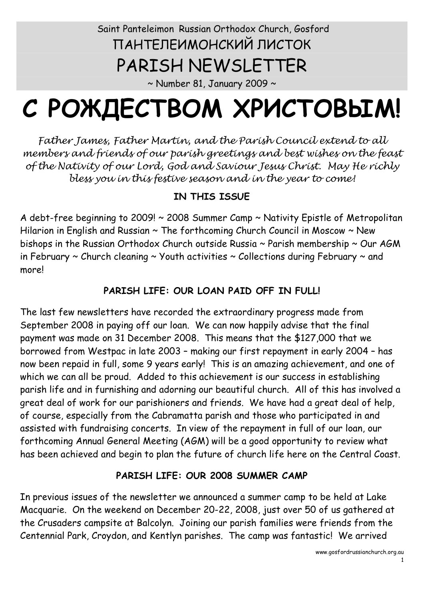# Saint Panteleimon Russian Orthodox Church, Gosford ПАНТЕЛЕИМОНСКИЙ ЛИСТОК PARISH NEWSLETTER

 $\sim$  Number 81, January 2009  $\sim$ 

# **С РОЖДЕСТВОМ ХРИСТОВЫМ!**

*Father James, Father Martin, and the Parish Council extend to all members and friends of our parish greetings and best wishes on the feast of the Nativity of our Lord, God and Saviour Jesus Christ. May He richly bless you in this festive season and in the year to come!*

# **IN THIS ISSUE**

A debt-free beginning to 2009! ~ 2008 Summer Camp ~ Nativity Epistle of Metropolitan Hilarion in English and Russian ~ The forthcoming Church Council in Moscow ~ New bishops in the Russian Orthodox Church outside Russia ~ Parish membership ~ Our AGM in February  $\sim$  Church cleaning  $\sim$  Youth activities  $\sim$  Collections during February  $\sim$  and more!

# **PARISH LIFE: OUR LOAN PAID OFF IN FULL!**

The last few newsletters have recorded the extraordinary progress made from September 2008 in paying off our loan. We can now happily advise that the final payment was made on 31 December 2008. This means that the \$127,000 that we borrowed from Westpac in late 2003 – making our first repayment in early 2004 – has now been repaid in full, some 9 years early! This is an amazing achievement, and one of which we can all be proud. Added to this achievement is our success in establishing parish life and in furnishing and adorning our beautiful church. All of this has involved a great deal of work for our parishioners and friends. We have had a great deal of help, of course, especially from the Cabramatta parish and those who participated in and assisted with fundraising concerts. In view of the repayment in full of our loan, our forthcoming Annual General Meeting (AGM) will be a good opportunity to review what has been achieved and begin to plan the future of church life here on the Central Coast.

# **PARISH LIFE: OUR 2008 SUMMER CAMP**

In previous issues of the newsletter we announced a summer camp to be held at Lake Macquarie. On the weekend on December 20-22, 2008, just over 50 of us gathered at the Crusaders campsite at Balcolyn. Joining our parish families were friends from the Centennial Park, Croydon, and Kentlyn parishes. The camp was fantastic! We arrived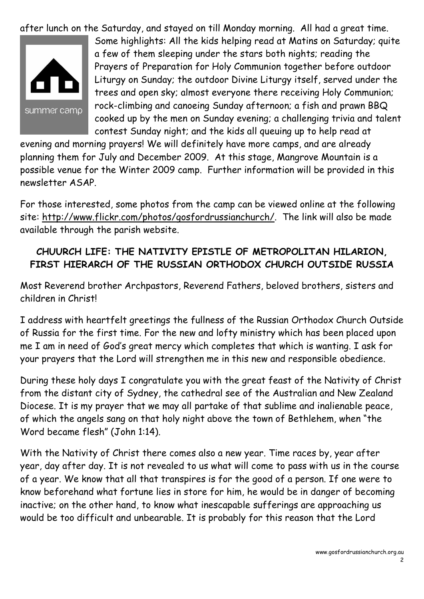after lunch on the Saturday, and stayed on till Monday morning. All had a great time.



Some highlights: All the kids helping read at Matins on Saturday; quite a few of them sleeping under the stars both nights; reading the Prayers of Preparation for Holy Communion together before outdoor Liturgy on Sunday; the outdoor Divine Liturgy itself, served under the trees and open sky; almost everyone there receiving Holy Communion; rock-climbing and canoeing Sunday afternoon; a fish and prawn BBQ cooked up by the men on Sunday evening; a challenging trivia and talent contest Sunday night; and the kids all queuing up to help read at

evening and morning prayers! We will definitely have more camps, and are already planning them for July and December 2009. At this stage, Mangrove Mountain is a possible venue for the Winter 2009 camp. Further information will be provided in this newsletter ASAP.

For those interested, some photos from the camp can be viewed online at the following site: http://www.flickr.com/photos/gosfordrussianchurch/. The link will also be made available through the parish website.

#### **CHUURCH LIFE: THE NATIVITY EPISTLE OF METROPOLITAN HILARION, FIRST HIERARCH OF THE RUSSIAN ORTHODOX CHURCH OUTSIDE RUSSIA**

Most Reverend brother Archpastors, Reverend Fathers, beloved brothers, sisters and children in Christ!

I address with heartfelt greetings the fullness of the Russian Orthodox Church Outside of Russia for the first time. For the new and lofty ministry which has been placed upon me I am in need of God's great mercy which completes that which is wanting. I ask for your prayers that the Lord will strengthen me in this new and responsible obedience.

During these holy days I congratulate you with the great feast of the Nativity of Christ from the distant city of Sydney, the cathedral see of the Australian and New Zealand Diocese. It is my prayer that we may all partake of that sublime and inalienable peace, of which the angels sang on that holy night above the town of Bethlehem, when "the Word became flesh" (John 1:14).

With the Nativity of Christ there comes also a new year. Time races by, year after year, day after day. It is not revealed to us what will come to pass with us in the course of a year. We know that all that transpires is for the good of a person. If one were to know beforehand what fortune lies in store for him, he would be in danger of becoming inactive; on the other hand, to know what inescapable sufferings are approaching us would be too difficult and unbearable. It is probably for this reason that the Lord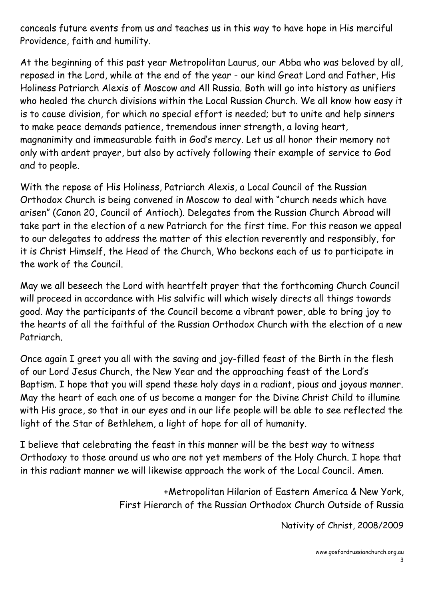conceals future events from us and teaches us in this way to have hope in His merciful Providence, faith and humility.

At the beginning of this past year Metropolitan Laurus, our Abba who was beloved by all, reposed in the Lord, while at the end of the year - our kind Great Lord and Father, His Holiness Patriarch Alexis of Moscow and All Russia. Both will go into history as unifiers who healed the church divisions within the Local Russian Church. We all know how easy it is to cause division, for which no special effort is needed; but to unite and help sinners to make peace demands patience, tremendous inner strength, a loving heart, magnanimity and immeasurable faith in God's mercy. Let us all honor their memory not only with ardent prayer, but also by actively following their example of service to God and to people.

With the repose of His Holiness, Patriarch Alexis, a Local Council of the Russian Orthodox Church is being convened in Moscow to deal with "church needs which have arisen" (Canon 20, Council of Antioch). Delegates from the Russian Church Abroad will take part in the election of a new Patriarch for the first time. For this reason we appeal to our delegates to address the matter of this election reverently and responsibly, for it is Christ Himself, the Head of the Church, Who beckons each of us to participate in the work of the Council.

May we all beseech the Lord with heartfelt prayer that the forthcoming Church Council will proceed in accordance with His salvific will which wisely directs all things towards good. May the participants of the Council become a vibrant power, able to bring joy to the hearts of all the faithful of the Russian Orthodox Church with the election of a new Patriarch.

Once again I greet you all with the saving and joy-filled feast of the Birth in the flesh of our Lord Jesus Church, the New Year and the approaching feast of the Lord's Baptism. I hope that you will spend these holy days in a radiant, pious and joyous manner. May the heart of each one of us become a manger for the Divine Christ Child to illumine with His grace, so that in our eyes and in our life people will be able to see reflected the light of the Star of Bethlehem, a light of hope for all of humanity.

I believe that celebrating the feast in this manner will be the best way to witness Orthodoxy to those around us who are not yet members of the Holy Church. I hope that in this radiant manner we will likewise approach the work of the Local Council. Amen.

> +Metropolitan Hilarion of Eastern America & New York, First Hierarch of the Russian Orthodox Church Outside of Russia

> > Nativity of Christ, 2008/2009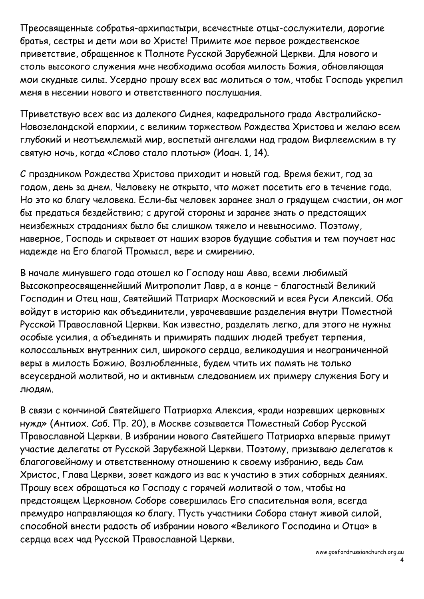Преосвященные собратья-архипастыри, всечестные отцы-сослужители, дорогие братья, сестры и дети мои во Христе! Примите мое первое рождественское приветствие, обращенное к Полноте Русской Зарубежной Церкви. Для нового и столь высокого служения мне необходима особая милость Божия, обновляющая мои скудные силы. Усердно прошу всех вас молиться о том, чтобы Господь укрепил меня в несении нового и ответственного послушания.

Приветствую всех вас из далекого Сиднея, кафедрального града Австралийско-Новозеландской епархии, с великим торжеством Рождества Христова и желаю всем глубокий и неотъемлемый мир, воспетый ангелами над градом Вифлеемским в ту святую ночь, когда «Слово стало плотью» (Иоан. 1, 14).

С праздником Рождества Христова приходит и новый год. Время бежит, год за годом, день за днем. Человеку не открыто, что может посетить его в течение года. Но это ко благу человека. Если-бы человек заранее знал о грядущем счастии, он мог бы предаться бездействию; с другой стороны и заранее знать о предстоящих неизбежных страданиях было бы слишком тяжело и невыносимо. Поэтому, наверное, Господь и скрывает от наших взоров будущие события и тем поучает нас надежде на Его благой Промысл, вере и смирению.

В начале минувшего года отошел ко Господу наш Авва, всеми любимый Высокопреосвященнейший Митрополит Лавр, а в конце – благостный Великий Господин и Отец наш, Святейший Патриарх Московский и всея Руси Алексий. Оба войдут в историю как объединители, уврачевавшие разделения внутри Поместной Русской Православной Церкви. Как известно, разделять легко, для этого не нужны особые усилия, а объединять и примирять падших людей требует терпения, колоссальных внутренних сил, широкого сердца, великодушия и неограниченной веры в милость Божию. Возлюбленные, будем чтить их память не только всеусердной молитвой, но и активным следованием их примеру служения Богу и людям.

В связи с кончиной Святейшего Патриарха Алексия, «ради назревших церковных нужд» (Антиох. Соб. Пр. 20), в Москве созывается Поместный Собор Русской Православной Церкви. В избрании нового Святейшего Патриарха впервые примут участие делегаты от Русской Зарубежной Церкви. Поэтому, призываю делегатов к благоговейному и ответственному отношению к своему избранию, ведь Сам Христос, Глава Церкви, зовет каждого из вас к участию в этих соборных деяниях. Прошу всех обращаться ко Господу с горячей молитвой о том, чтобы на предстоящем Церковном Соборе совершилась Его спасительная воля, всегда премудро направляющая ко благу. Пусть участники Собора станут живой силой, способной внести радость об избрании нового «Великого Господина и Отца» в сердца всех чад Русской Православной Церкви.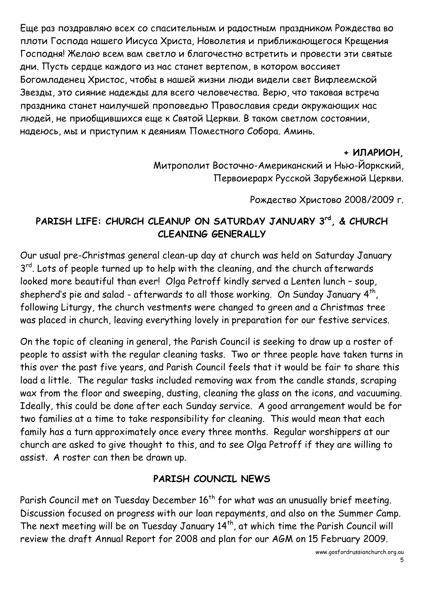Еще раз поздравляю всех со спасительным и радостным праздником Рождества во плоти Господа нашего Иисуса Христа, Новолетия и приближающегося Крещения Господня! Желаю всем вам светло и благочестно встретить и провести эти святые дни. Пусть сердце каждого из нас станет вертепом, в котором воссияет Богомладенец Христос, чтобы в нашей жизни люди видели свет Вифлеемской Звезды, это сияние надежды для всего человечества. Верю, что таковая встреча праздника станет наилучшей проповедью Православия среди окружающих нас людей, не приобщившихся еще к Святой Церкви. В таком светлом состоянии, надеюсь, мы и приступим к деяниям Поместного Собора. Аминь.

#### **+ ИЛАРИОН,**

Митрополит Восточно-Американский и Нью-Йоркский, Первоиерарх Русской Зарубежной Церкви.

Рождество Христово 2008/2009 г.

### **PARISH LIFE: CHURCH CLEANUP ON SATURDAY JANUARY 3 rd, & CHURCH CLEANING GENERALLY**

Our usual pre-Christmas general clean-up day at church was held on Saturday January 3<sup>rd</sup>. Lots of people turned up to help with the cleaning, and the church afterwards looked more beautiful than ever! Olga Petroff kindly served a Lenten lunch – soup, shepherd's pie and salad - afterwards to all those working. On Sunday January  $4^{th}$ , following Liturgy, the church vestments were changed to green and a Christmas tree was placed in church, leaving everything lovely in preparation for our festive services.

On the topic of cleaning in general, the Parish Council is seeking to draw up a roster of people to assist with the regular cleaning tasks. Two or three people have taken turns in this over the past five years, and Parish Council feels that it would be fair to share this load a little. The regular tasks included removing wax from the candle stands, scraping wax from the floor and sweeping, dusting, cleaning the glass on the icons, and vacuuming. Ideally, this could be done after each Sunday service. A good arrangement would be for two families at a time to take responsibility for cleaning. This would mean that each family has a turn approximately once every three months. Regular worshippers at our church are asked to give thought to this, and to see Olga Petroff if they are willing to assist. A roster can then be drawn up.

#### **PARISH COUNCIL NEWS**

Parish Council met on Tuesday December 16<sup>th</sup> for what was an unusually brief meeting. Discussion focused on progress with our loan repayments, and also on the Summer Camp. The next meeting will be on Tuesday January 14<sup>th</sup>, at which time the Parish Council will review the draft Annual Report for 2008 and plan for our AGM on 15 February 2009.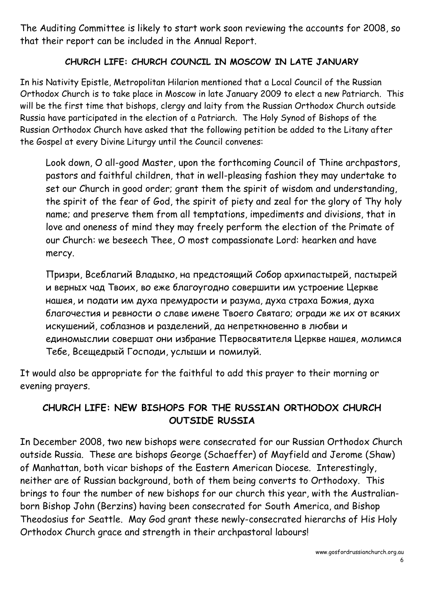The Auditing Committee is likely to start work soon reviewing the accounts for 2008, so that their report can be included in the Annual Report.

#### **CHURCH LIFE: CHURCH COUNCIL IN MOSCOW IN LATE JANUARY**

In his Nativity Epistle, Metropolitan Hilarion mentioned that a Local Council of the Russian Orthodox Church is to take place in Moscow in late January 2009 to elect a new Patriarch. This will be the first time that bishops, clergy and laity from the Russian Orthodox Church outside Russia have participated in the election of a Patriarch. The Holy Synod of Bishops of the Russian Orthodox Church have asked that the following petition be added to the Litany after the Gospel at every Divine Liturgy until the Council convenes:

Look down, O all-good Master, upon the forthcoming Council of Thine archpastors, pastors and faithful children, that in well-pleasing fashion they may undertake to set our Church in good order; grant them the spirit of wisdom and understanding, the spirit of the fear of God, the spirit of piety and zeal for the glory of Thy holy name; and preserve them from all temptations, impediments and divisions, that in love and oneness of mind they may freely perform the election of the Primate of our Church: we beseech Thee, O most compassionate Lord: hearken and have mercy.

Призри, Всеблагий Владыко, на предстоящий Собор архипастырей, пастырей и верных чад Твоих, во еже благоугодно совершити им устроение Церкве нашея, и подати им духа премудрости и разума, духа страха Божия, духа благочестия и ревности о славе имене Твоего Святаго; огради же их от всяких искушений, соблазнов и разделений, да непреткновенно в любви и единомыслии совершат они избрание Первосвятителя Церкве нашея, молимся Тебе, Всещедрый Господи, услыши и помилуй.

It would also be appropriate for the faithful to add this prayer to their morning or evening prayers.

#### **CHURCH LIFE: NEW BISHOPS FOR THE RUSSIAN ORTHODOX CHURCH OUTSIDE RUSSIA**

In December 2008, two new bishops were consecrated for our Russian Orthodox Church outside Russia. These are bishops George (Schaeffer) of Mayfield and Jerome (Shaw) of Manhattan, both vicar bishops of the Eastern American Diocese. Interestingly, neither are of Russian background, both of them being converts to Orthodoxy. This brings to four the number of new bishops for our church this year, with the Australianborn Bishop John (Berzins) having been consecrated for South America, and Bishop Theodosius for Seattle. May God grant these newly-consecrated hierarchs of His Holy Orthodox Church grace and strength in their archpastoral labours!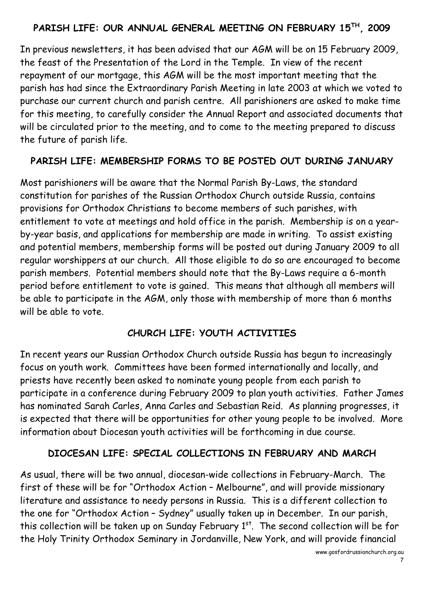# **PARISH LIFE: OUR ANNUAL GENERAL MEETING ON FEBRUARY 15 TH , 2009**

In previous newsletters, it has been advised that our AGM will be on 15 February 2009, the feast of the Presentation of the Lord in the Temple. In view of the recent repayment of our mortgage, this AGM will be the most important meeting that the parish has had since the Extraordinary Parish Meeting in late 2003 at which we voted to purchase our current church and parish centre. All parishioners are asked to make time for this meeting, to carefully consider the Annual Report and associated documents that will be circulated prior to the meeting, and to come to the meeting prepared to discuss the future of parish life.

#### **PARISH LIFE: MEMBERSHIP FORMS TO BE POSTED OUT DURING JANUARY**

Most parishioners will be aware that the Normal Parish By-Laws, the standard constitution for parishes of the Russian Orthodox Church outside Russia, contains provisions for Orthodox Christians to become members of such parishes, with entitlement to vote at meetings and hold office in the parish. Membership is on a yearby-year basis, and applications for membership are made in writing. To assist existing and potential members, membership forms will be posted out during January 2009 to all regular worshippers at our church. All those eligible to do so are encouraged to become parish members. Potential members should note that the By-Laws require a 6-month period before entitlement to vote is gained. This means that although all members will be able to participate in the AGM, only those with membership of more than 6 months will be able to vote.

#### **CHURCH LIFE: YOUTH ACTIVITIES**

In recent years our Russian Orthodox Church outside Russia has begun to increasingly focus on youth work. Committees have been formed internationally and locally, and priests have recently been asked to nominate young people from each parish to participate in a conference during February 2009 to plan youth activities. Father James has nominated Sarah Carles, Anna Carles and Sebastian Reid. As planning progresses, it is expected that there will be opportunities for other young people to be involved. More information about Diocesan youth activities will be forthcoming in due course.

#### **DIOCESAN LIFE: SPECIAL COLLECTIONS IN FEBRUARY AND MARCH**

As usual, there will be two annual, diocesan-wide collections in February-March. The first of these will be for "Orthodox Action – Melbourne", and will provide missionary literature and assistance to needy persons in Russia. This is a different collection to the one for "Orthodox Action – Sydney" usually taken up in December. In our parish, this collection will be taken up on Sunday February  $1^\mathrm{st}$ . The second collection will be for the Holy Trinity Orthodox Seminary in Jordanville, New York, and will provide financial